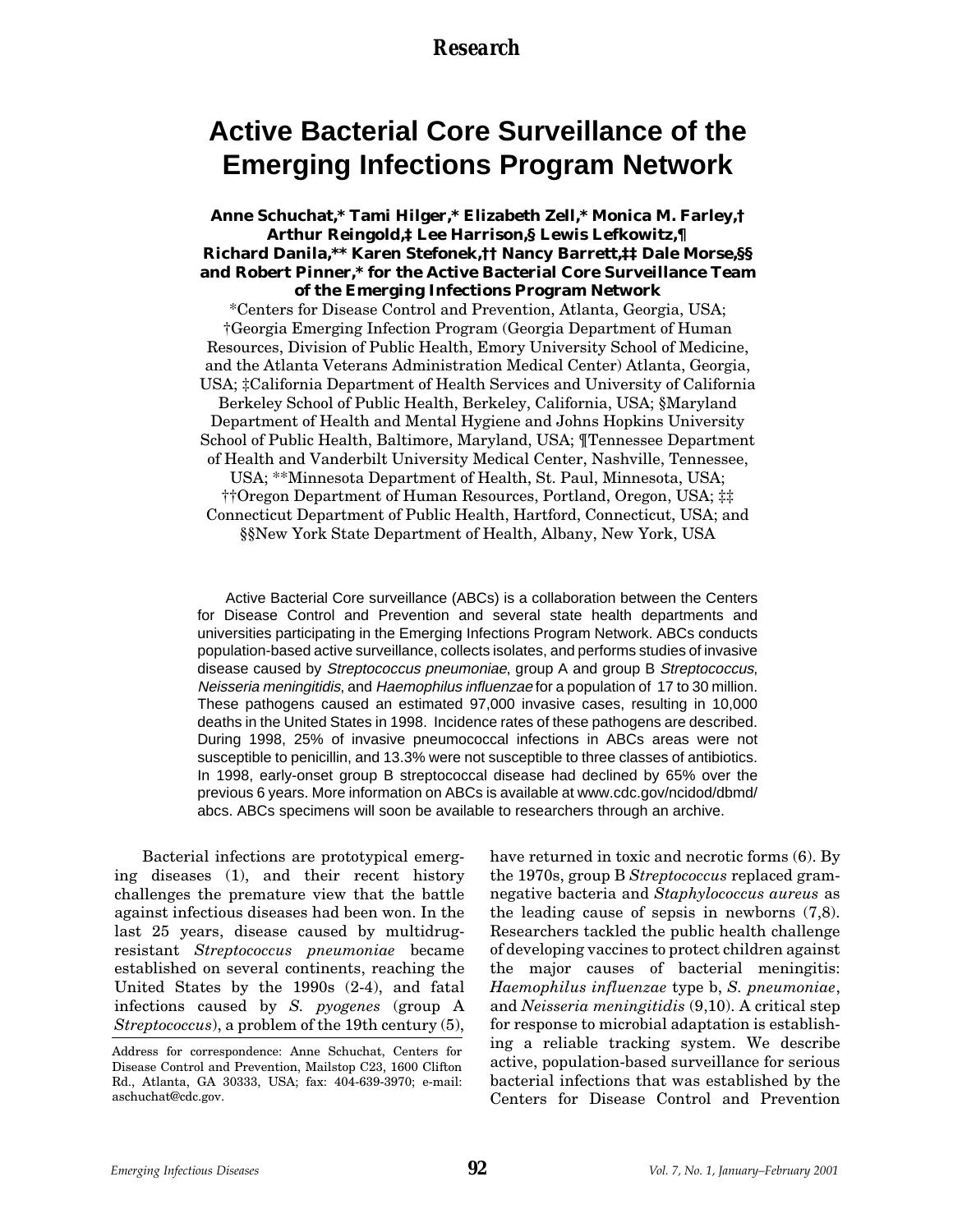# **Active Bacterial Core Surveillance of the Emerging Infections Program Network**

**Anne Schuchat,\* Tami Hilger,\* Elizabeth Zell,\* Monica M. Farley,† Arthur Reingold,‡ Lee Harrison,§ Lewis Lefkowitz,¶ Richard Danila,\*\* Karen Stefonek,†† Nancy Barrett,‡‡ Dale Morse,§§ and Robert Pinner,\* for the Active Bacterial Core Surveillance Team of the Emerging Infections Program Network**

\*Centers for Disease Control and Prevention, Atlanta, Georgia, USA; †Georgia Emerging Infection Program (Georgia Department of Human Resources, Division of Public Health, Emory University School of Medicine, and the Atlanta Veterans Administration Medical Center) Atlanta, Georgia, USA; ‡California Department of Health Services and University of California

Berkeley School of Public Health, Berkeley, California, USA; §Maryland Department of Health and Mental Hygiene and Johns Hopkins University School of Public Health, Baltimore, Maryland, USA; ¶Tennessee Department of Health and Vanderbilt University Medical Center, Nashville, Tennessee,

USA; \*\*Minnesota Department of Health, St. Paul, Minnesota, USA;

††Oregon Department of Human Resources, Portland, Oregon, USA; ‡‡ Connecticut Department of Public Health, Hartford, Connecticut, USA; and §§New York State Department of Health, Albany, New York, USA

Active Bacterial Core surveillance (ABCs) is a collaboration between the Centers for Disease Control and Prevention and several state health departments and universities participating in the Emerging Infections Program Network. ABCs conducts population-based active surveillance, collects isolates, and performs studies of invasive disease caused by Streptococcus pneumoniae, group A and group B Streptococcus, Neisseria meningitidis, and Haemophilus influenzae for a population of 17 to 30 million. These pathogens caused an estimated 97,000 invasive cases, resulting in 10,000 deaths in the United States in 1998. Incidence rates of these pathogens are described. During 1998, 25% of invasive pneumococcal infections in ABCs areas were not susceptible to penicillin, and 13.3% were not susceptible to three classes of antibiotics. In 1998, early-onset group B streptococcal disease had declined by 65% over the previous 6 years. More information on ABCs is available at www.cdc.gov/ncidod/dbmd/ abcs. ABCs specimens will soon be available to researchers through an archive.

Bacterial infections are prototypical emerging diseases (1), and their recent history challenges the premature view that the battle against infectious diseases had been won. In the last 25 years, disease caused by multidrugresistant *Streptococcus pneumoniae* became established on several continents, reaching the United States by the 1990s (2-4), and fatal infections caused by *S. pyogenes* (group A *Streptococcus*), a problem of the 19th century (5),

have returned in toxic and necrotic forms (6). By the 1970s, group B *Streptococcus* replaced gramnegative bacteria and *Staphylococcus aureus* as the leading cause of sepsis in newborns (7,8). Researchers tackled the public health challenge of developing vaccines to protect children against the major causes of bacterial meningitis: *Haemophilus influenzae* type b, *S. pneumoniae*, and *Neisseria meningitidis* (9,10). A critical step for response to microbial adaptation is establishing a reliable tracking system. We describe active, population-based surveillance for serious bacterial infections that was established by the Centers for Disease Control and Prevention

Address for correspondence: Anne Schuchat, Centers for Disease Control and Prevention, Mailstop C23, 1600 Clifton Rd., Atlanta, GA 30333, USA; fax: 404-639-3970; e-mail: aschuchat@cdc.gov.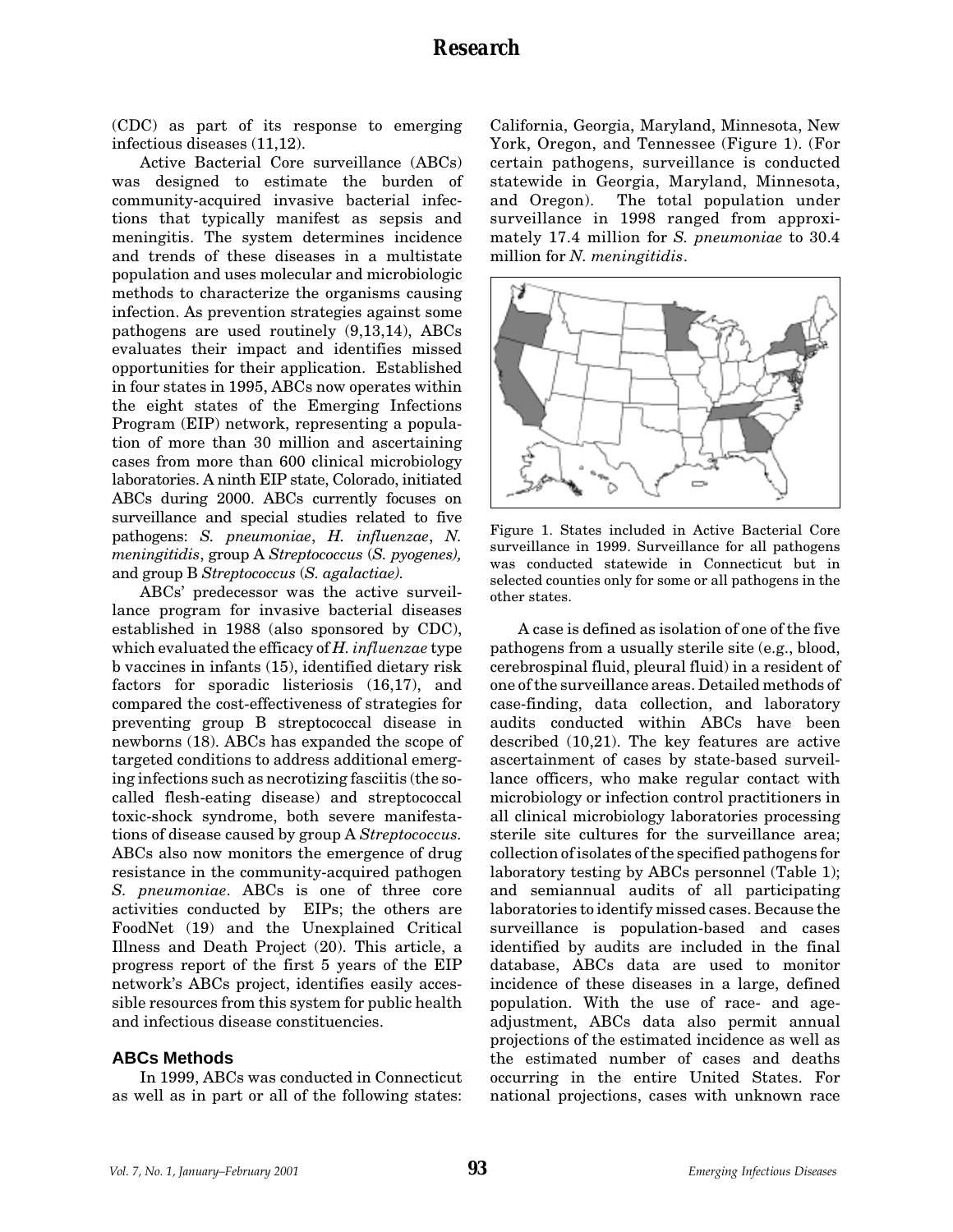(CDC) as part of its response to emerging infectious diseases (11,12).

Active Bacterial Core surveillance (ABCs) was designed to estimate the burden of community-acquired invasive bacterial infections that typically manifest as sepsis and meningitis. The system determines incidence and trends of these diseases in a multistate population and uses molecular and microbiologic methods to characterize the organisms causing infection. As prevention strategies against some pathogens are used routinely (9,13,14), ABCs evaluates their impact and identifies missed opportunities for their application. Established in four states in 1995, ABCs now operates within the eight states of the Emerging Infections Program (EIP) network, representing a population of more than 30 million and ascertaining cases from more than 600 clinical microbiology laboratories. A ninth EIP state, Colorado, initiated ABCs during 2000. ABCs currently focuses on surveillance and special studies related to five pathogens: *S. pneumoniae*, *H. influenzae*, *N. meningitidis*, group A *Streptococcus* (*S. pyogenes),* and group B *Streptococcus* (*S. agalactiae).*

ABCs' predecessor was the active surveillance program for invasive bacterial diseases established in 1988 (also sponsored by CDC), which evaluated the efficacy of *H. influenzae* type b vaccines in infants (15), identified dietary risk factors for sporadic listeriosis (16,17), and compared the cost-effectiveness of strategies for preventing group B streptococcal disease in newborns (18). ABCs has expanded the scope of targeted conditions to address additional emerging infections such as necrotizing fasciitis (the socalled flesh-eating disease) and streptococcal toxic-shock syndrome, both severe manifestations of disease caused by group A *Streptococcus.* ABCs also now monitors the emergence of drug resistance in the community-acquired pathogen *S. pneumoniae*. ABCs is one of three core activities conducted by EIPs; the others are FoodNet (19) and the Unexplained Critical Illness and Death Project (20). This article, a progress report of the first 5 years of the EIP network's ABCs project, identifies easily accessible resources from this system for public health and infectious disease constituencies.

### **ABCs Methods**

In 1999, ABCs was conducted in Connecticut as well as in part or all of the following states: California, Georgia, Maryland, Minnesota, New York, Oregon, and Tennessee (Figure 1). (For certain pathogens, surveillance is conducted statewide in Georgia, Maryland, Minnesota, and Oregon). The total population under surveillance in 1998 ranged from approximately 17.4 million for *S. pneumoniae* to 30.4 million for *N. meningitidis*.



Figure 1. States included in Active Bacterial Core surveillance in 1999. Surveillance for all pathogens was conducted statewide in Connecticut but in selected counties only for some or all pathogens in the other states.

A case is defined as isolation of one of the five pathogens from a usually sterile site (e.g., blood, cerebrospinal fluid, pleural fluid) in a resident of one of the surveillance areas. Detailed methods of case-finding, data collection, and laboratory audits conducted within ABCs have been described (10,21). The key features are active ascertainment of cases by state-based surveillance officers, who make regular contact with microbiology or infection control practitioners in all clinical microbiology laboratories processing sterile site cultures for the surveillance area; collection of isolates of the specified pathogens for laboratory testing by ABCs personnel (Table 1); and semiannual audits of all participating laboratories to identify missed cases. Because the surveillance is population-based and cases identified by audits are included in the final database, ABCs data are used to monitor incidence of these diseases in a large, defined population. With the use of race- and ageadjustment, ABCs data also permit annual projections of the estimated incidence as well as the estimated number of cases and deaths occurring in the entire United States. For national projections, cases with unknown race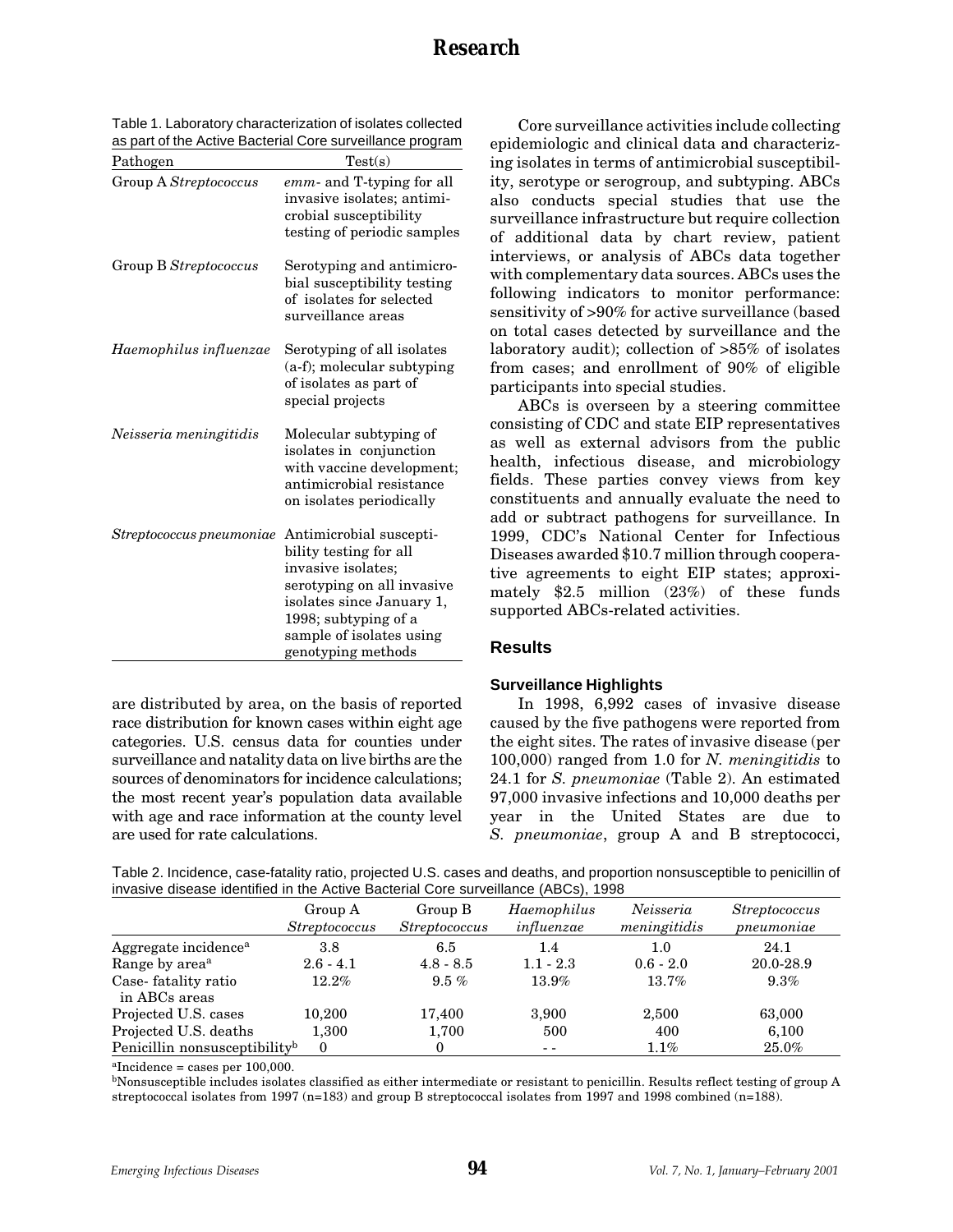| Table 1. Laboratory characterization of isolates collected |  |
|------------------------------------------------------------|--|
| as part of the Active Bacterial Core surveillance program  |  |

| Pathogen                 | Test(s)                                                                                                                                                                                                      |
|--------------------------|--------------------------------------------------------------------------------------------------------------------------------------------------------------------------------------------------------------|
| Group A Streptococcus    | emm- and T-typing for all<br>invasive isolates; antimi-<br>crobial susceptibility<br>testing of periodic samples                                                                                             |
| Group B Streptococcus    | Serotyping and antimicro-<br>bial susceptibility testing<br>of isolates for selected<br>surveillance areas                                                                                                   |
| Haemophilus influenzae   | Serotyping of all isolates<br>(a-f); molecular subtyping<br>of isolates as part of<br>special projects                                                                                                       |
| Neisseria meningitidis   | Molecular subtyping of<br>isolates in conjunction<br>with vaccine development;<br>antimicrobial resistance<br>on isolates periodically                                                                       |
| Streptococcus pneumoniae | Antimicrobial suscepti-<br>bility testing for all<br>invasive isolates;<br>serotyping on all invasive<br>isolates since January 1,<br>1998; subtyping of a<br>sample of isolates using<br>genotyping methods |

are distributed by area, on the basis of reported race distribution for known cases within eight age categories. U.S. census data for counties under surveillance and natality data on live births are the sources of denominators for incidence calculations; the most recent year's population data available with age and race information at the county level are used for rate calculations.

Core surveillance activities include collecting epidemiologic and clinical data and characterizing isolates in terms of antimicrobial susceptibility, serotype or serogroup, and subtyping. ABCs also conducts special studies that use the surveillance infrastructure but require collection of additional data by chart review, patient interviews, or analysis of ABCs data together with complementary data sources. ABCs uses the following indicators to monitor performance: sensitivity of >90% for active surveillance (based on total cases detected by surveillance and the laboratory audit); collection of >85% of isolates from cases; and enrollment of 90% of eligible participants into special studies.

ABCs is overseen by a steering committee consisting of CDC and state EIP representatives as well as external advisors from the public health, infectious disease, and microbiology fields. These parties convey views from key constituents and annually evaluate the need to add or subtract pathogens for surveillance. In 1999, CDC's National Center for Infectious Diseases awarded \$10.7 million through cooperative agreements to eight EIP states; approximately \$2.5 million (23%) of these funds supported ABCs-related activities.

### **Results**

### **Surveillance Highlights**

In 1998, 6,992 cases of invasive disease caused by the five pathogens were reported from the eight sites. The rates of invasive disease (per 100,000) ranged from 1.0 for *N. meningitidis* to 24.1 for *S. pneumoniae* (Table 2). An estimated 97,000 invasive infections and 10,000 deaths per year in the United States are due to *S. pneumoniae*, group A and B streptococci,

Table 2. Incidence, case-fatality ratio, projected U.S. cases and deaths, and proportion nonsusceptible to penicillin of invasive disease identified in the Active Bacterial Core surveillance (ABCs), 1998

|                                           | Group A<br><i>Streptococcus</i> | Group B<br><i>Streptococcus</i> | Haemophilus<br>influenzae | Neisseria<br>meningitidis | <i>Streptococcus</i><br>pneumoniae |
|-------------------------------------------|---------------------------------|---------------------------------|---------------------------|---------------------------|------------------------------------|
| Aggregate incidence <sup>a</sup>          | 3.8                             | 6.5                             | 1.4                       | 1.0                       | 24.1                               |
| Range by area <sup>a</sup>                | $2.6 - 4.1$                     | $4.8 - 8.5$                     | $1.1 - 2.3$               | $0.6 - 2.0$               | 20.0-28.9                          |
| Case-fatality ratio<br>in ABCs areas      | $12.2\%$                        | $9.5\%$                         | 13.9%                     | $13.7\%$                  | 9.3%                               |
| Projected U.S. cases                      | 10,200                          | 17,400                          | 3,900                     | 2,500                     | 63,000                             |
| Projected U.S. deaths                     | 1,300                           | 1,700                           | 500                       | 400                       | 6,100                              |
| Penicillin nonsusceptibility <sup>b</sup> | $\theta$                        | 0                               | $ -$                      | $1.1\%$                   | 25.0%                              |

 $aIncidence = cases per 100,000.$ 

bNonsusceptible includes isolates classified as either intermediate or resistant to penicillin. Results reflect testing of group A streptococcal isolates from 1997 (n=183) and group B streptococcal isolates from 1997 and 1998 combined (n=188).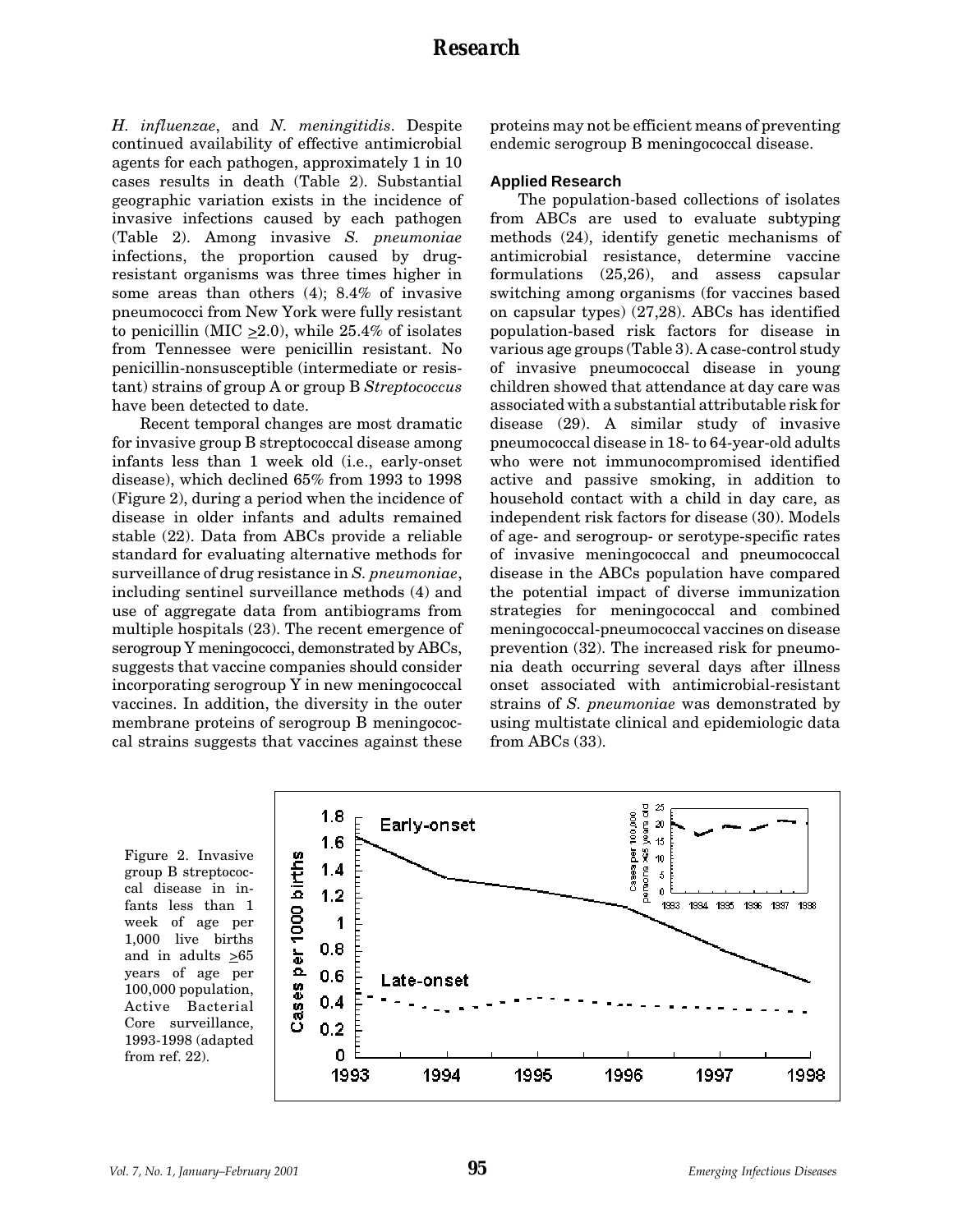*H. influenzae*, and *N. meningitidis*. Despite continued availability of effective antimicrobial agents for each pathogen, approximately 1 in 10 cases results in death (Table 2). Substantial geographic variation exists in the incidence of invasive infections caused by each pathogen (Table 2). Among invasive *S. pneumoniae* infections, the proportion caused by drugresistant organisms was three times higher in some areas than others (4); 8.4% of invasive pneumococci from New York were fully resistant to penicillin (MIC  $\geq$ 2.0), while 25.4% of isolates from Tennessee were penicillin resistant. No penicillin-nonsusceptible (intermediate or resistant) strains of group A or group B *Streptococcus* have been detected to date.

Recent temporal changes are most dramatic for invasive group B streptococcal disease among infants less than 1 week old (i.e., early-onset disease), which declined 65% from 1993 to 1998 (Figure 2), during a period when the incidence of disease in older infants and adults remained stable (22). Data from ABCs provide a reliable standard for evaluating alternative methods for surveillance of drug resistance in *S. pneumoniae*, including sentinel surveillance methods (4) and use of aggregate data from antibiograms from multiple hospitals (23). The recent emergence of serogroup Y meningococci, demonstrated by ABCs, suggests that vaccine companies should consider incorporating serogroup Y in new meningococcal vaccines. In addition, the diversity in the outer membrane proteins of serogroup B meningococcal strains suggests that vaccines against these

proteins may not be efficient means of preventing endemic serogroup B meningococcal disease.

### **Applied Research**

The population-based collections of isolates from ABCs are used to evaluate subtyping methods (24), identify genetic mechanisms of antimicrobial resistance, determine vaccine formulations (25,26), and assess capsular switching among organisms (for vaccines based on capsular types) (27,28). ABCs has identified population-based risk factors for disease in various age groups (Table 3). A case-control study of invasive pneumococcal disease in young children showed that attendance at day care was associated with a substantial attributable risk for disease (29). A similar study of invasive pneumococcal disease in 18- to 64-year-old adults who were not immunocompromised identified active and passive smoking, in addition to household contact with a child in day care, as independent risk factors for disease (30). Models of age- and serogroup- or serotype-specific rates of invasive meningococcal and pneumococcal disease in the ABCs population have compared the potential impact of diverse immunization strategies for meningococcal and combined meningococcal-pneumococcal vaccines on disease prevention (32). The increased risk for pneumonia death occurring several days after illness onset associated with antimicrobial-resistant strains of *S. pneumoniae* was demonstrated by using multistate clinical and epidemiologic data from ABCs (33).

Figure 2. Invasive group B streptococcal disease in infants less than 1 week of age per 1,000 live births and in adults  $\geq 65$ years of age per 100,000 population, Active Bacterial Core surveillance, 1993-1998 (adapted from ref. 22).

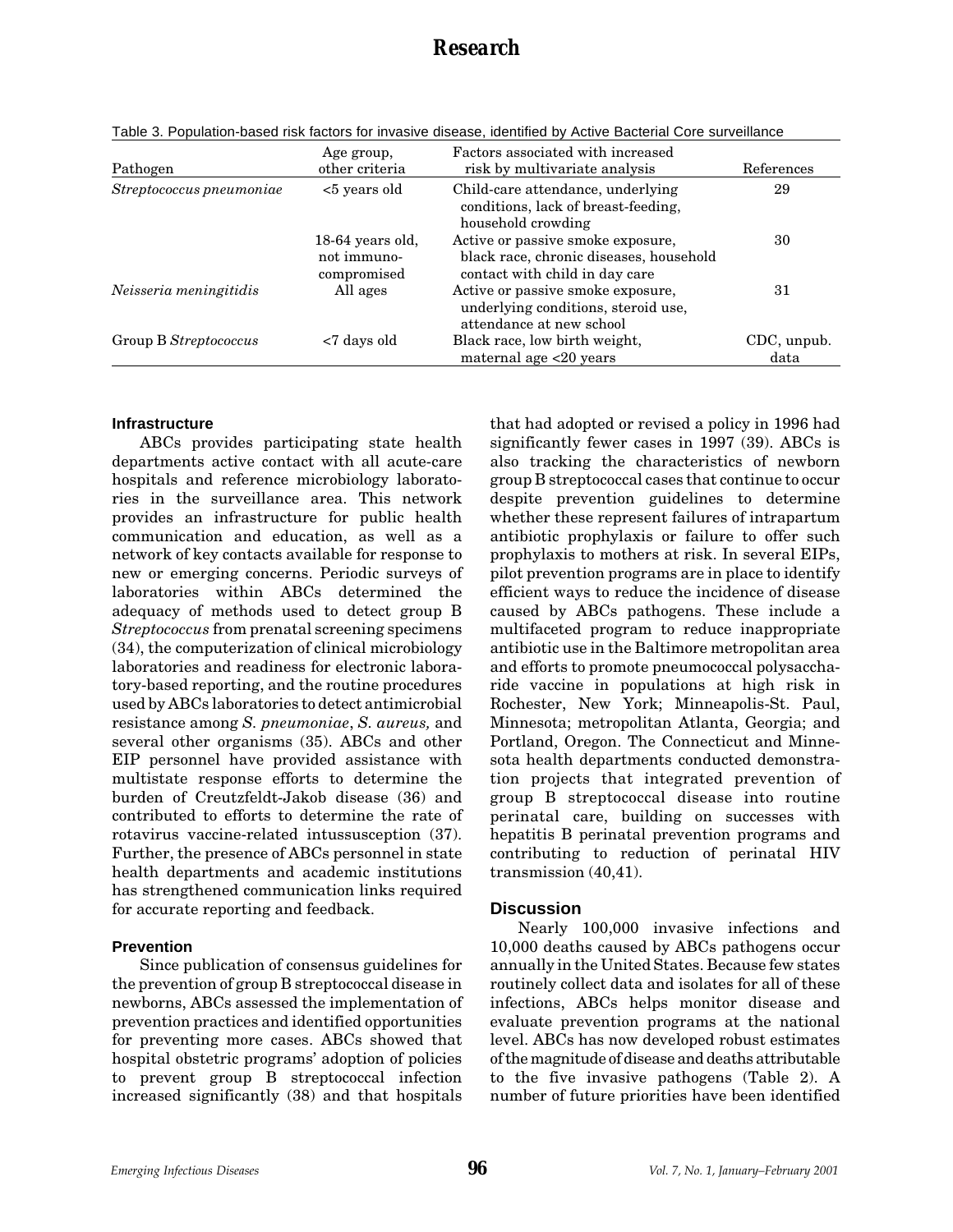| Pathogen                 | Age group,<br>other criteria                   | Factors associated with increased<br>risk by multivariate analysis                                             | References          |
|--------------------------|------------------------------------------------|----------------------------------------------------------------------------------------------------------------|---------------------|
| Streptococcus pneumoniae | <5 years old                                   | Child-care attendance, underlying<br>conditions, lack of breast-feeding,<br>household crowding                 | 29                  |
|                          | 18-64 years old,<br>not immuno-<br>compromised | Active or passive smoke exposure,<br>black race, chronic diseases, household<br>contact with child in day care | 30                  |
| Neisseria meningitidis   | All ages                                       | Active or passive smoke exposure,<br>underlying conditions, steroid use,<br>attendance at new school           | 31                  |
| Group B Streptococcus    | <7 days old                                    | Black race, low birth weight,<br>maternal age $\langle 20 \rangle$ years                                       | CDC, unpub.<br>data |

Table 3. Population-based risk factors for invasive disease, identified by Active Bacterial Core surveillance

#### **Infrastructure**

ABCs provides participating state health departments active contact with all acute-care hospitals and reference microbiology laboratories in the surveillance area. This network provides an infrastructure for public health communication and education, as well as a network of key contacts available for response to new or emerging concerns. Periodic surveys of laboratories within ABCs determined the adequacy of methods used to detect group B *Streptococcus* from prenatal screening specimens (34), the computerization of clinical microbiology laboratories and readiness for electronic laboratory-based reporting, and the routine procedures used by ABCs laboratories to detect antimicrobial resistance among *S. pneumoniae*, *S. aureus,* and several other organisms (35). ABCs and other EIP personnel have provided assistance with multistate response efforts to determine the burden of Creutzfeldt-Jakob disease (36) and contributed to efforts to determine the rate of rotavirus vaccine-related intussusception (37). Further, the presence of ABCs personnel in state health departments and academic institutions has strengthened communication links required for accurate reporting and feedback.

### **Prevention**

Since publication of consensus guidelines for the prevention of group B streptococcal disease in newborns, ABCs assessed the implementation of prevention practices and identified opportunities for preventing more cases. ABCs showed that hospital obstetric programs' adoption of policies to prevent group B streptococcal infection increased significantly (38) and that hospitals

that had adopted or revised a policy in 1996 had significantly fewer cases in 1997 (39). ABCs is also tracking the characteristics of newborn group B streptococcal cases that continue to occur despite prevention guidelines to determine whether these represent failures of intrapartum antibiotic prophylaxis or failure to offer such prophylaxis to mothers at risk. In several EIPs, pilot prevention programs are in place to identify efficient ways to reduce the incidence of disease caused by ABCs pathogens. These include a multifaceted program to reduce inappropriate antibiotic use in the Baltimore metropolitan area and efforts to promote pneumococcal polysaccharide vaccine in populations at high risk in Rochester, New York; Minneapolis-St. Paul, Minnesota; metropolitan Atlanta, Georgia; and Portland, Oregon. The Connecticut and Minnesota health departments conducted demonstration projects that integrated prevention of group B streptococcal disease into routine perinatal care, building on successes with hepatitis B perinatal prevention programs and contributing to reduction of perinatal HIV transmission (40,41).

### **Discussion**

Nearly 100,000 invasive infections and 10,000 deaths caused by ABCs pathogens occur annually in the United States. Because few states routinely collect data and isolates for all of these infections, ABCs helps monitor disease and evaluate prevention programs at the national level. ABCs has now developed robust estimates of the magnitude of disease and deaths attributable to the five invasive pathogens (Table 2). A number of future priorities have been identified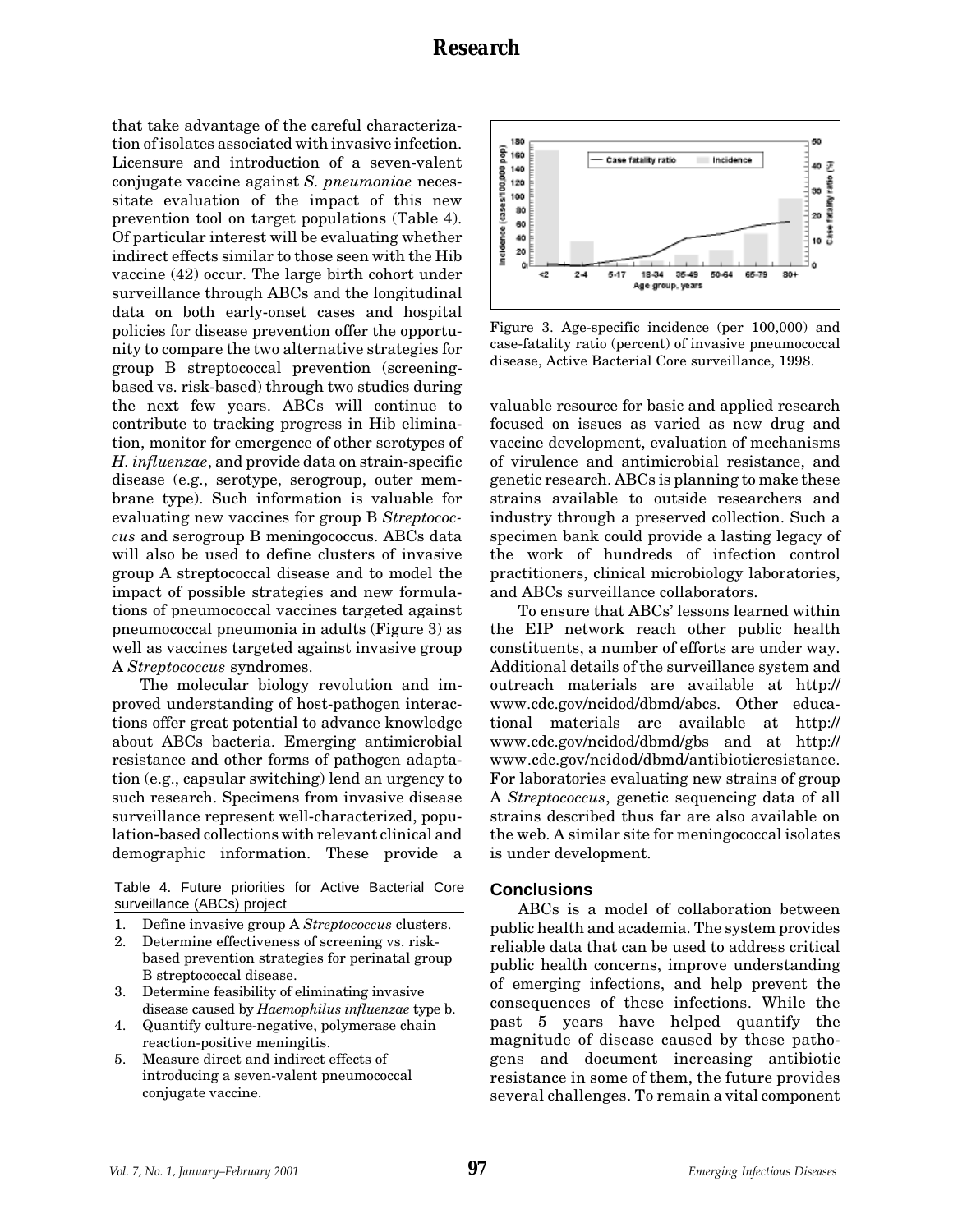that take advantage of the careful characterization of isolates associated with invasive infection. Licensure and introduction of a seven-valent conjugate vaccine against *S. pneumoniae* necessitate evaluation of the impact of this new prevention tool on target populations (Table 4). Of particular interest will be evaluating whether indirect effects similar to those seen with the Hib vaccine (42) occur. The large birth cohort under surveillance through ABCs and the longitudinal data on both early-onset cases and hospital policies for disease prevention offer the opportunity to compare the two alternative strategies for group B streptococcal prevention (screeningbased vs. risk-based) through two studies during the next few years. ABCs will continue to contribute to tracking progress in Hib elimination, monitor for emergence of other serotypes of *H. influenzae*, and provide data on strain-specific disease (e.g., serotype, serogroup, outer membrane type). Such information is valuable for evaluating new vaccines for group B *Streptococcus* and serogroup B meningococcus. ABCs data will also be used to define clusters of invasive group A streptococcal disease and to model the impact of possible strategies and new formulations of pneumococcal vaccines targeted against pneumococcal pneumonia in adults (Figure 3) as well as vaccines targeted against invasive group A *Streptococcus* syndromes.

The molecular biology revolution and improved understanding of host-pathogen interactions offer great potential to advance knowledge about ABCs bacteria. Emerging antimicrobial resistance and other forms of pathogen adaptation (e.g., capsular switching) lend an urgency to such research. Specimens from invasive disease surveillance represent well-characterized, population-based collections with relevant clinical and demographic information. These provide a

Table 4. Future priorities for Active Bacterial Core surveillance (ABCs) project

- 1. Define invasive group A *Streptococcus* clusters.
- 2. Determine effectiveness of screening vs. riskbased prevention strategies for perinatal group B streptococcal disease.
- 3. Determine feasibility of eliminating invasive disease caused by *Haemophilus influenzae* type b.
- 4. Quantify culture-negative, polymerase chain reaction-positive meningitis.
- 5. Measure direct and indirect effects of introducing a seven-valent pneumococcal conjugate vaccine.



Figure 3. Age-specific incidence (per 100,000) and case-fatality ratio (percent) of invasive pneumococcal disease, Active Bacterial Core surveillance, 1998.

valuable resource for basic and applied research focused on issues as varied as new drug and vaccine development, evaluation of mechanisms of virulence and antimicrobial resistance, and genetic research. ABCs is planning to make these strains available to outside researchers and industry through a preserved collection. Such a specimen bank could provide a lasting legacy of the work of hundreds of infection control practitioners, clinical microbiology laboratories, and ABCs surveillance collaborators.

To ensure that ABCs' lessons learned within the EIP network reach other public health constituents, a number of efforts are under way. Additional details of the surveillance system and outreach materials are available at http:// www.cdc.gov/ncidod/dbmd/abcs. Other educational materials are available at http:// www.cdc.gov/ncidod/dbmd/gbs and at http:// www.cdc.gov/ncidod/dbmd/antibioticresistance. For laboratories evaluating new strains of group A *Streptococcus*, genetic sequencing data of all strains described thus far are also available on the web. A similar site for meningococcal isolates is under development.

### **Conclusions**

ABCs is a model of collaboration between public health and academia. The system provides reliable data that can be used to address critical public health concerns, improve understanding of emerging infections, and help prevent the consequences of these infections. While the past 5 years have helped quantify the magnitude of disease caused by these pathogens and document increasing antibiotic resistance in some of them, the future provides several challenges. To remain a vital component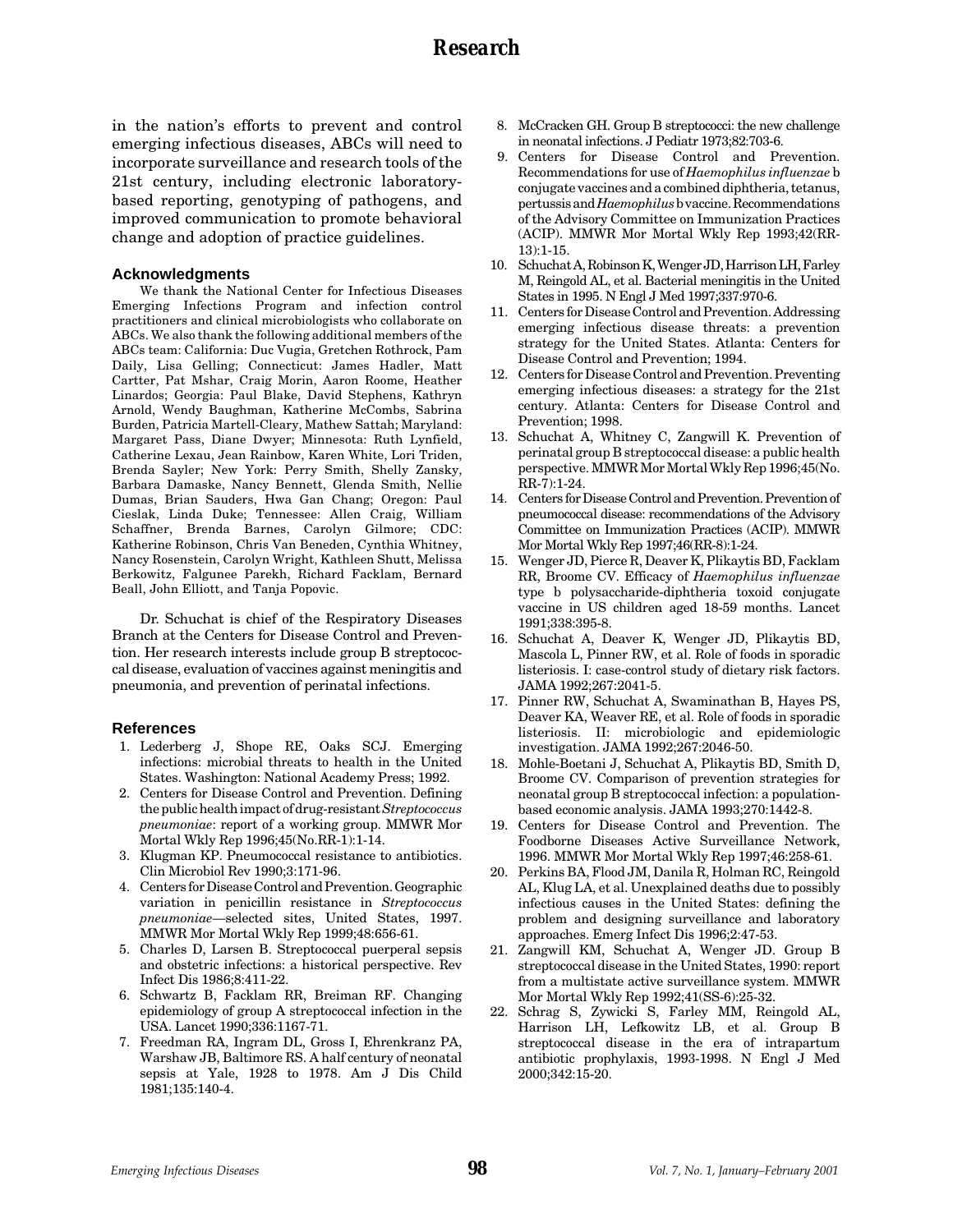in the nation's efforts to prevent and control emerging infectious diseases, ABCs will need to incorporate surveillance and research tools of the 21st century, including electronic laboratorybased reporting, genotyping of pathogens, and improved communication to promote behavioral change and adoption of practice guidelines.

#### **Acknowledgments**

We thank the National Center for Infectious Diseases Emerging Infections Program and infection control practitioners and clinical microbiologists who collaborate on ABCs. We also thank the following additional members of the ABCs team: California: Duc Vugia, Gretchen Rothrock, Pam Daily, Lisa Gelling; Connecticut: James Hadler, Matt Cartter, Pat Mshar, Craig Morin, Aaron Roome, Heather Linardos; Georgia: Paul Blake, David Stephens, Kathryn Arnold, Wendy Baughman, Katherine McCombs, Sabrina Burden, Patricia Martell-Cleary, Mathew Sattah; Maryland: Margaret Pass, Diane Dwyer; Minnesota: Ruth Lynfield, Catherine Lexau, Jean Rainbow, Karen White, Lori Triden, Brenda Sayler; New York: Perry Smith, Shelly Zansky, Barbara Damaske, Nancy Bennett, Glenda Smith, Nellie Dumas, Brian Sauders, Hwa Gan Chang; Oregon: Paul Cieslak, Linda Duke; Tennessee: Allen Craig, William Schaffner, Brenda Barnes, Carolyn Gilmore; CDC: Katherine Robinson, Chris Van Beneden, Cynthia Whitney, Nancy Rosenstein, Carolyn Wright, Kathleen Shutt, Melissa Berkowitz, Falgunee Parekh, Richard Facklam, Bernard Beall, John Elliott, and Tanja Popovic.

Dr. Schuchat is chief of the Respiratory Diseases Branch at the Centers for Disease Control and Prevention. Her research interests include group B streptococcal disease, evaluation of vaccines against meningitis and pneumonia, and prevention of perinatal infections.

#### **References**

- 1. Lederberg J, Shope RE, Oaks SCJ. Emerging infections: microbial threats to health in the United States. Washington: National Academy Press; 1992.
- 2. Centers for Disease Control and Prevention. Defining the public health impact of drug-resistant *Streptococcus pneumoniae*: report of a working group. MMWR Mor Mortal Wkly Rep 1996;45(No.RR-1):1-14.
- 3. Klugman KP. Pneumococcal resistance to antibiotics. Clin Microbiol Rev 1990;3:171-96.
- 4. Centers for Disease Control and Prevention. Geographic variation in penicillin resistance in *Streptococcus pneumoniae*—selected sites, United States, 1997. MMWR Mor Mortal Wkly Rep 1999;48:656-61.
- 5. Charles D, Larsen B. Streptococcal puerperal sepsis and obstetric infections: a historical perspective. Rev Infect Dis 1986;8:411-22.
- 6. Schwartz B, Facklam RR, Breiman RF. Changing epidemiology of group A streptococcal infection in the USA. Lancet 1990;336:1167-71.
- 7. Freedman RA, Ingram DL, Gross I, Ehrenkranz PA, Warshaw JB, Baltimore RS. A half century of neonatal sepsis at Yale, 1928 to 1978. Am J Dis Child 1981;135:140-4.
- 8. McCracken GH. Group B streptococci: the new challenge in neonatal infections. J Pediatr 1973;82:703-6.
- 9. Centers for Disease Control and Prevention. Recommendations for use of *Haemophilus influenzae* b conjugate vaccines and a combined diphtheria, tetanus, pertussis and *Haemophilus* b vaccine. Recommendations of the Advisory Committee on Immunization Practices (ACIP). MMWR Mor Mortal Wkly Rep 1993;42(RR-13):1-15.
- 10. Schuchat A, Robinson K, Wenger JD, Harrison LH, Farley M, Reingold AL, et al. Bacterial meningitis in the United States in 1995. N Engl J Med 1997;337:970-6.
- 11. Centers for Disease Control and Prevention. Addressing emerging infectious disease threats: a prevention strategy for the United States. Atlanta: Centers for Disease Control and Prevention; 1994.
- 12. Centers for Disease Control and Prevention. Preventing emerging infectious diseases: a strategy for the 21st century. Atlanta: Centers for Disease Control and Prevention; 1998.
- 13. Schuchat A, Whitney C, Zangwill K. Prevention of perinatal group B streptococcal disease: a public health perspective. MMWR Mor Mortal Wkly Rep 1996;45(No. RR-7):1-24.
- 14. Centers for Disease Control and Prevention. Prevention of pneumococcal disease: recommendations of the Advisory Committee on Immunization Practices (ACIP). MMWR Mor Mortal Wkly Rep 1997;46(RR-8):1-24.
- 15. Wenger JD, Pierce R, Deaver K, Plikaytis BD, Facklam RR, Broome CV. Efficacy of *Haemophilus influenzae* type b polysaccharide-diphtheria toxoid conjugate vaccine in US children aged 18-59 months. Lancet 1991;338:395-8.
- 16. Schuchat A, Deaver K, Wenger JD, Plikaytis BD, Mascola L, Pinner RW, et al. Role of foods in sporadic listeriosis. I: case-control study of dietary risk factors. JAMA 1992;267:2041-5.
- 17. Pinner RW, Schuchat A, Swaminathan B, Hayes PS, Deaver KA, Weaver RE, et al. Role of foods in sporadic listeriosis. II: microbiologic and epidemiologic investigation. JAMA 1992;267:2046-50.
- 18. Mohle-Boetani J, Schuchat A, Plikaytis BD, Smith D, Broome CV. Comparison of prevention strategies for neonatal group B streptococcal infection: a populationbased economic analysis. JAMA 1993;270:1442-8.
- 19. Centers for Disease Control and Prevention. The Foodborne Diseases Active Surveillance Network, 1996. MMWR Mor Mortal Wkly Rep 1997;46:258-61.
- 20. Perkins BA, Flood JM, Danila R, Holman RC, Reingold AL, Klug LA, et al. Unexplained deaths due to possibly infectious causes in the United States: defining the problem and designing surveillance and laboratory approaches. Emerg Infect Dis 1996;2:47-53.
- 21. Zangwill KM, Schuchat A, Wenger JD. Group B streptococcal disease in the United States, 1990: report from a multistate active surveillance system. MMWR Mor Mortal Wkly Rep 1992;41(SS-6):25-32.
- 22. Schrag S, Zywicki S, Farley MM, Reingold AL, Harrison LH, Lefkowitz LB, et al. Group B streptococcal disease in the era of intrapartum antibiotic prophylaxis, 1993-1998. N Engl J Med 2000;342:15-20.